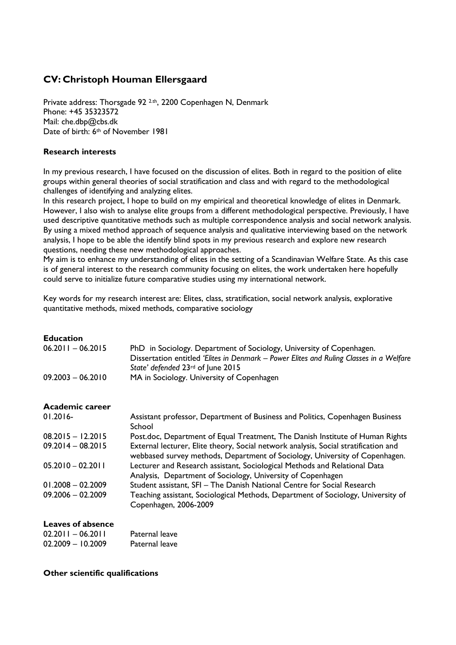# **CV: Christoph Houman Ellersgaard**

Private address: Thorsgade 92 2.th, 2200 Copenhagen N, Denmark Phone: +45 35323572 Mail: che.dbp@cbs.dk Date of birth: 6<sup>th</sup> of November 1981

## **Research interests**

In my previous research, I have focused on the discussion of elites. Both in regard to the position of elite groups within general theories of social stratification and class and with regard to the methodological challenges of identifying and analyzing elites.

In this research project, I hope to build on my empirical and theoretical knowledge of elites in Denmark. However, I also wish to analyse elite groups from a different methodological perspective. Previously, I have used descriptive quantitative methods such as multiple correspondence analysis and social network analysis. By using a mixed method approach of sequence analysis and qualitative interviewing based on the network analysis, I hope to be able the identify blind spots in my previous research and explore new research questions, needing these new methodological approaches.

My aim is to enhance my understanding of elites in the setting of a Scandinavian Welfare State. As this case is of general interest to the research community focusing on elites, the work undertaken here hopefully could serve to initialize future comparative studies using my international network.

Key words for my research interest are: Elites, class, stratification, social network analysis, explorative quantitative methods, mixed methods, comparative sociology

| <b>Education</b><br>$06.2011 - 06.2015$ | PhD in Sociology. Department of Sociology, University of Copenhagen.<br>Dissertation entitled 'Elites in Denmark - Power Elites and Ruling Classes in a Welfare<br>State' defended 23rd of June 2015 |
|-----------------------------------------|------------------------------------------------------------------------------------------------------------------------------------------------------------------------------------------------------|
| $09.2003 - 06.2010$                     | MA in Sociology. University of Copenhagen                                                                                                                                                            |
| Academic career                         |                                                                                                                                                                                                      |
| $01.2016 -$                             | Assistant professor, Department of Business and Politics, Copenhagen Business<br>School                                                                                                              |
| $08.2015 - 12.2015$                     | Post.doc, Department of Equal Treatment, The Danish Institute of Human Rights                                                                                                                        |
| $09.2014 - 08.2015$                     | External lecturer, Elite theory, Social network analysis, Social stratification and<br>webbased survey methods, Department of Sociology, University of Copenhagen.                                   |
| $05.2010 - 02.2011$                     | Lecturer and Research assistant, Sociological Methods and Relational Data<br>Analysis, Department of Sociology, University of Copenhagen                                                             |
| $01.2008 - 02.2009$                     | Student assistant, SFI - The Danish National Centre for Social Research                                                                                                                              |
| $09.2006 - 02.2009$                     | Teaching assistant, Sociological Methods, Department of Sociology, University of<br>Copenhagen, 2006-2009                                                                                            |

# **Leaves of absence**

| 02.2011 - 06.2011 | Paternal leave |
|-------------------|----------------|
| 02.2009 - 10.2009 | Paternal leave |

#### **Other scientific qualifications**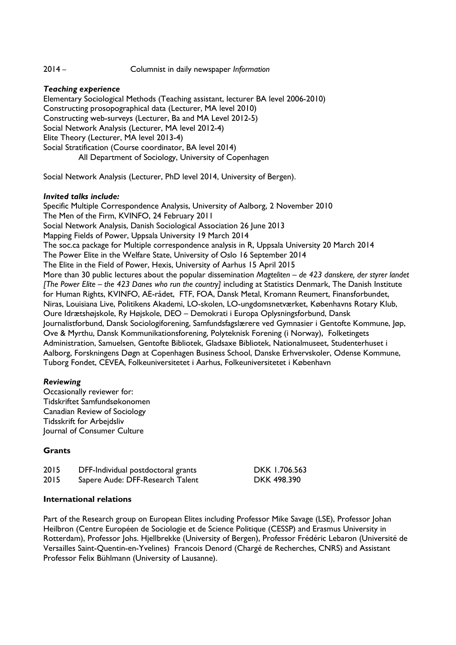## 2014 – Columnist in daily newspaper *Information*

## *Teaching experience*

Elementary Sociological Methods (Teaching assistant, lecturer BA level 2006-2010) Constructing prosopographical data (Lecturer, MA level 2010) Constructing web-surveys (Lecturer, Ba and MA Level 2012-5) Social Network Analysis (Lecturer, MA level 2012-4) Elite Theory (Lecturer, MA level 2013-4) Social Stratification (Course coordinator, BA level 2014) All Department of Sociology, University of Copenhagen

Social Network Analysis (Lecturer, PhD level 2014, University of Bergen).

## *Invited talks include:*

Specific Multiple Correspondence Analysis, University of Aalborg, 2 November 2010 The Men of the Firm, KVINFO, 24 February 2011 Social Network Analysis, Danish Sociological Association 26 June 2013 Mapping Fields of Power, Uppsala University 19 March 2014 The soc.ca package for Multiple correspondence analysis in R, Uppsala University 20 March 2014 The Power Elite in the Welfare State, University of Oslo 16 September 2014 The Elite in the Field of Power, Hexis, University of Aarhus 15 April 2015 More than 30 public lectures about the popular dissemination *Magteliten – de 423 danskere, der styrer landet [The Power Elite – the 423 Danes who run the country]* including at Statistics Denmark, The Danish Institute for Human Rights, KVINFO, AE-rådet, FTF, FOA, Dansk Metal, Kromann Reumert, Finansforbundet, Niras, Louisiana Live, Politikens Akademi, LO-skolen, LO-ungdomsnetværket, Københavns Rotary Klub, Oure Idrætshøjskole, Ry Højskole, DEO – Demokrati i Europa Oplysningsforbund, Dansk Journalistforbund, Dansk Sociologiforening, Samfundsfagslærere ved Gymnasier i Gentofte Kommune, Jøp, Ove & Myrthu, Dansk Kommunikationsforening, Polyteknisk Forening (i Norway), Folketingets Administration, Samuelsen, Gentofte Bibliotek, Gladsaxe Bibliotek, Nationalmuseet, Studenterhuset i Aalborg, Forskningens Døgn at Copenhagen Business School, Danske Erhvervskoler, Odense Kommune, Tuborg Fondet, CEVEA, Folkeuniversitetet i Aarhus, Folkeuniversitetet i København

# *Reviewing*

Occasionally reviewer for: Tidskriftet Samfundsøkonomen Canadian Review of Sociology Tidsskrift for Arbejdsliv Journal of Consumer Culture

# **Grants**

| 2015 | DFF-Individual postdoctoral grants |
|------|------------------------------------|
| 2015 | Sapere Aude: DFF-Research Talent   |

DKK 1.706.563 DKK 498.390

## **International relations**

Part of the Research group on European Elites including Professor Mike Savage (LSE), Professor Johan Heilbron (Centre Européen de Sociologie et de Science Politique (CESSP) and Erasmus University in Rotterdam), Professor Johs. Hjellbrekke (University of Bergen), Professor Frédéric Lebaron (Université de Versailles Saint-Quentin-en-Yvelines) Francois Denord (Chargé de Recherches, CNRS) and Assistant Professor Felix Bühlmann (University of Lausanne).